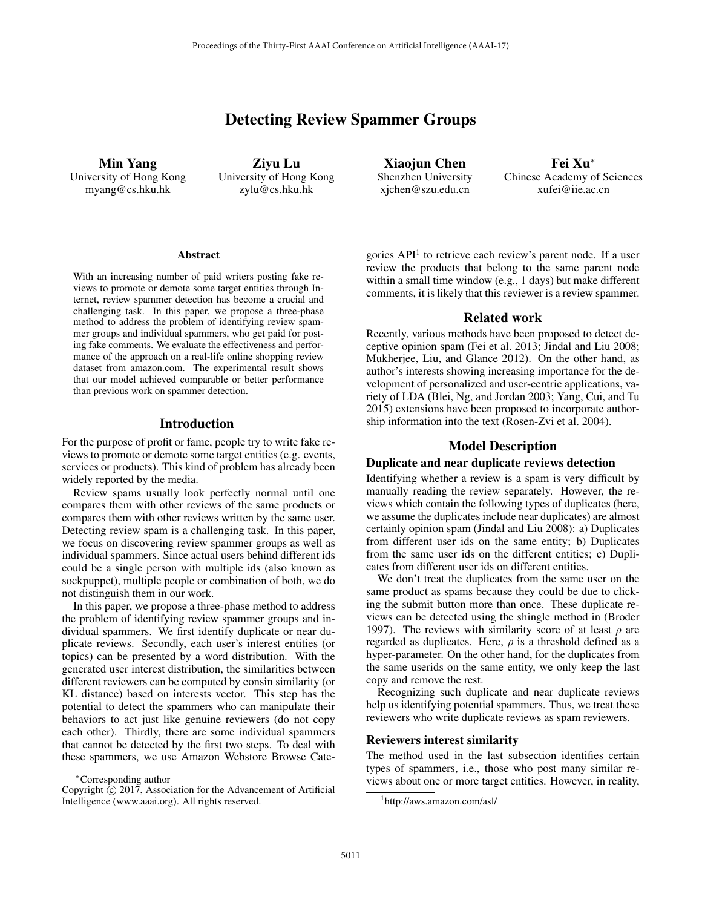# Detecting Review Spammer Groups

Min Yang University of Hong Kong myang@cs.hku.hk

Ziyu Lu University of Hong Kong zylu@cs.hku.hk

Xiaojun Chen Shenzhen University xjchen@szu.edu.cn

Fei Xu<sup>∗</sup> Chinese Academy of Sciences xufei@iie.ac.cn

#### Abstract

With an increasing number of paid writers posting fake reviews to promote or demote some target entities through Internet, review spammer detection has become a crucial and challenging task. In this paper, we propose a three-phase method to address the problem of identifying review spammer groups and individual spammers, who get paid for posting fake comments. We evaluate the effectiveness and performance of the approach on a real-life online shopping review dataset from amazon.com. The experimental result shows that our model achieved comparable or better performance than previous work on spammer detection.

## Introduction

For the purpose of profit or fame, people try to write fake reviews to promote or demote some target entities (e.g. events, services or products). This kind of problem has already been widely reported by the media.

Review spams usually look perfectly normal until one compares them with other reviews of the same products or compares them with other reviews written by the same user. Detecting review spam is a challenging task. In this paper, we focus on discovering review spammer groups as well as individual spammers. Since actual users behind different ids could be a single person with multiple ids (also known as sockpuppet), multiple people or combination of both, we do not distinguish them in our work.

In this paper, we propose a three-phase method to address the problem of identifying review spammer groups and individual spammers. We first identify duplicate or near duplicate reviews. Secondly, each user's interest entities (or topics) can be presented by a word distribution. With the generated user interest distribution, the similarities between different reviewers can be computed by consin similarity (or KL distance) based on interests vector. This step has the potential to detect the spammers who can manipulate their behaviors to act just like genuine reviewers (do not copy each other). Thirdly, there are some individual spammers that cannot be detected by the first two steps. To deal with these spammers, we use Amazon Webstore Browse Categories  $API<sup>1</sup>$  to retrieve each review's parent node. If a user review the products that belong to the same parent node within a small time window (e.g., 1 days) but make different comments, it is likely that this reviewer is a review spammer.

## Related work

Recently, various methods have been proposed to detect deceptive opinion spam (Fei et al. 2013; Jindal and Liu 2008; Mukherjee, Liu, and Glance 2012). On the other hand, as author's interests showing increasing importance for the development of personalized and user-centric applications, variety of LDA (Blei, Ng, and Jordan 2003; Yang, Cui, and Tu 2015) extensions have been proposed to incorporate authorship information into the text (Rosen-Zvi et al. 2004).

## Model Description

#### Duplicate and near duplicate reviews detection

Identifying whether a review is a spam is very difficult by manually reading the review separately. However, the reviews which contain the following types of duplicates (here, we assume the duplicates include near duplicates) are almost certainly opinion spam (Jindal and Liu 2008): a) Duplicates from different user ids on the same entity; b) Duplicates from the same user ids on the different entities; c) Duplicates from different user ids on different entities.

We don't treat the duplicates from the same user on the same product as spams because they could be due to clicking the submit button more than once. These duplicate reviews can be detected using the shingle method in (Broder 1997). The reviews with similarity score of at least  $\rho$  are regarded as duplicates. Here,  $\rho$  is a threshold defined as a hyper-parameter. On the other hand, for the duplicates from the same userids on the same entity, we only keep the last copy and remove the rest.

Recognizing such duplicate and near duplicate reviews help us identifying potential spammers. Thus, we treat these reviewers who write duplicate reviews as spam reviewers.

#### Reviewers interest similarity

The method used in the last subsection identifies certain types of spammers, i.e., those who post many similar reviews about one or more target entities. However, in reality,

<sup>∗</sup>Corresponding author

Copyright  $\odot$  2017, Association for the Advancement of Artificial Intelligence (www.aaai.org). All rights reserved.

<sup>1</sup> http://aws.amazon.com/asl/